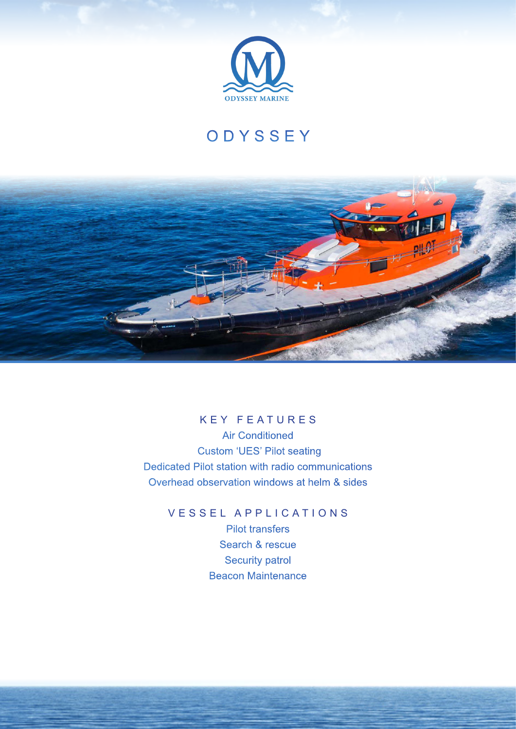

## **ODYSSEY**



## KEY FEATURES

Air Conditioned Custom 'UES' Pilot seating Dedicated Pilot station with radio communications Overhead observation windows at helm & sides

> VESSEL APPLICATIONS Pilot transfers Search & rescue Security patrol Beacon Maintenance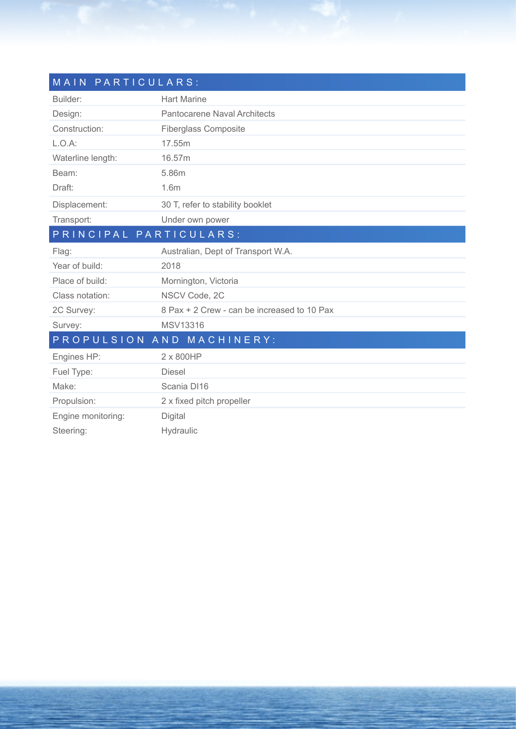| MAIN PARTICULARS:      |                                             |  |
|------------------------|---------------------------------------------|--|
| Builder:               | <b>Hart Marine</b>                          |  |
| Design:                | Pantocarene Naval Architects                |  |
| Construction:          | <b>Fiberglass Composite</b>                 |  |
| $L.O.A$ :              | 17.55m                                      |  |
| Waterline length:      | 16.57m                                      |  |
| Beam:                  | 5.86m                                       |  |
| Draft:                 | 1.6 <sub>m</sub>                            |  |
| Displacement:          | 30 T, refer to stability booklet            |  |
| Transport:             | Under own power                             |  |
| PRINCIPAL PARTICULARS: |                                             |  |
| Flag:                  | Australian, Dept of Transport W.A.          |  |
| Year of build:         | 2018                                        |  |
| Place of build:        | Mornington, Victoria                        |  |
| Class notation:        | NSCV Code, 2C                               |  |
| 2C Survey:             | 8 Pax + 2 Crew - can be increased to 10 Pax |  |
| Survey:                | MSV13316                                    |  |
|                        | PROPULSION AND MACHINERY:                   |  |
| Engines HP:            | 2 x 800HP                                   |  |
| Fuel Type:             | <b>Diesel</b>                               |  |
| Make:                  | Scania DI16                                 |  |
| Propulsion:            | 2 x fixed pitch propeller                   |  |
| Engine monitoring:     | Digital                                     |  |
| Steering:              | Hydraulic                                   |  |